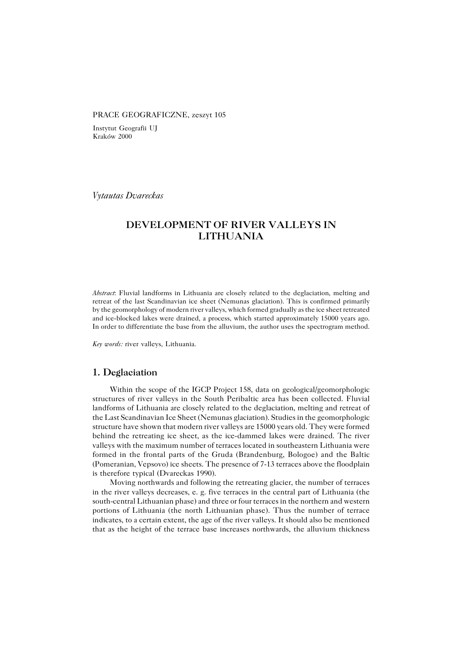#### PRACE GEOGRAFICZNE, zeszyt 105

Instytut Geografii UJ Kraków 2000

*Vytautas Dvareckas*

# **DEVELOPMENT OF RIVER VALLEYS IN LITHUANIA**

*Abstract*: Fluvial landforms in Lithuania are closely related to the deglaciation, melting and retreat of the last Scandinavian ice sheet (Nemunas glaciation). This is confirmed primarily by the geomorphology of modern river valleys, which formed gradually as the ice sheet retreated and ice−blocked lakes were drained, a process, which started approximately 15000 years ago. In order to differentiate the base from the alluvium, the author uses the spectrogram method.

*Key words:* river valleys, Lithuania.

### **1. Deglaciation**

Within the scope of the IGCP Project 158, data on geological/geomorphologic structures of river valleys in the South Peribaltic area has been collected. Fluvial landforms of Lithuania are closely related to the deglaciation, melting and retreat of the Last Scandinavian Ice Sheet (Nemunas glaciation). Studies in the geomorphologic structure have shown that modern river valleys are 15000 years old. They were formed behind the retreating ice sheet, as the ice−dammed lakes were drained. The river valleys with the maximum number of terraces located in southeastern Lithuania were formed in the frontal parts of the Gruda (Brandenburg, Bologoe) and the Baltic (Pomeranian, Vepsovo) ice sheets. The presence of 7−13 terraces above the floodplain is therefore typical (Dvareckas 1990).

Moving northwards and following the retreating glacier, the number of terraces in the river valleys decreases, e. g. five terraces in the central part of Lithuania (the south−central Lithuanian phase) and three or four terraces in the northern and western portions of Lithuania (the north Lithuanian phase). Thus the number of terrace indicates, to a certain extent, the age of the river valleys. It should also be mentioned that as the height of the terrace base increases northwards, the alluvium thickness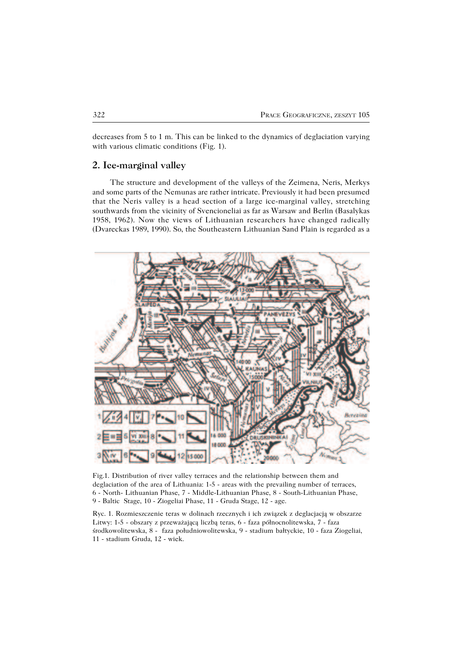decreases from 5 to 1 m. This can be linked to the dynamics of deglaciation varying with various climatic conditions (Fig. 1).

#### **2. Ice−marginal valley**

The structure and development of the valleys of the Zeimena, Neris, Merkys and some parts of the Nemunas are rather intricate. Previously it had been presumed that the Neris valley is a head section of a large ice−marginal valley, stretching southwards from the vicinity of Svencioneliai as far as Warsaw and Berlin (Basalykas 1958, 1962). Now the views of Lithuanian researchers have changed radically (Dvareckas 1989, 1990). So, the Southeastern Lithuanian Sand Plain is regarded as a



Fig.1. Distribution of river valley terraces and the relationship between them and deglaciation of the area of Lithuania: 1−5 − areas with the prevailing number of terraces, 6 − North− Lithuanian Phase, 7 − Middle−Lithuanian Phase, 8 − South−Lithuanian Phase, 9 − Baltic Stage, 10 − Ziogeliai Phase, 11 − Gruda Stage, 12 − age.

Ryc. 1. Rozmieszczenie teras w dolinach rzecznych i ich związek z deglacjacją w obszarze Litwy: 1−5 − obszary z przeważającą liczbą teras, 6 − faza północnolitewska, 7 − faza środkowolitewska, 8 − faza południowolitewska, 9 − stadium bałtyckie, 10 − faza Ziogeliai, 11 − stadium Gruda, 12 − wiek.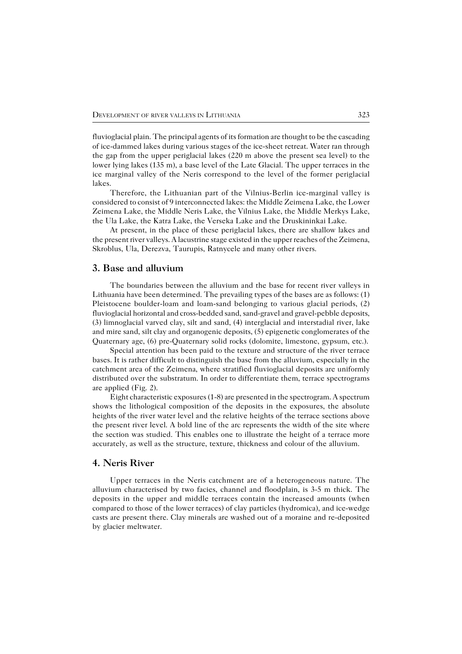fluvioglacial plain. The principal agents of its formation are thought to be the cascading of ice−dammed lakes during various stages of the ice−sheet retreat. Water ran through the gap from the upper periglacial lakes (220 m above the present sea level) to the lower lying lakes (135 m), a base level of the Late Glacial. The upper terraces in the ice marginal valley of the Neris correspond to the level of the former periglacial lakes.

Therefore, the Lithuanian part of the Vilnius−Berlin ice−marginal valley is considered to consist of 9 interconnected lakes: the Middle Zeimena Lake, the Lower Zeimena Lake, the Middle Neris Lake, the Vilnius Lake, the Middle Merkys Lake, the Ula Lake, the Katra Lake, the Verseka Lake and the Druskininkai Lake.

At present, in the place of these periglacial lakes, there are shallow lakes and the present river valleys. A lacustrine stage existed in the upper reaches of the Zeimena, Skroblus, Ula, Derezva, Taurupis, Ratnycele and many other rivers.

#### **3. Base and alluvium**

The boundaries between the alluvium and the base for recent river valleys in Lithuania have been determined. The prevailing types of the bases are as follows: (1) Pleistocene boulder−loam and loam−sand belonging to various glacial periods, (2) fluvioglacial horizontal and cross−bedded sand, sand−gravel and gravel−pebble deposits, (3) limnoglacial varved clay, silt and sand, (4) interglacial and interstadial river, lake and mire sand, silt clay and organogenic deposits, (5) epigenetic conglomerates of the Quaternary age, (6) pre−Quaternary solid rocks (dolomite, limestone, gypsum, etc.).

Special attention has been paid to the texture and structure of the river terrace bases. It is rather difficult to distinguish the base from the alluvium, especially in the catchment area of the Zeimena, where stratified fluvioglacial deposits are uniformly distributed over the substratum. In order to differentiate them, terrace spectrograms are applied (Fig. 2).

Eight characteristic exposures (1−8) are presented in the spectrogram. A spectrum shows the lithological composition of the deposits in the exposures, the absolute heights of the river water level and the relative heights of the terrace sections above the present river level. A bold line of the arc represents the width of the site where the section was studied. This enables one to illustrate the height of a terrace more accurately, as well as the structure, texture, thickness and colour of the alluvium.

## **4. Neris River**

Upper terraces in the Neris catchment are of a heterogeneous nature. The alluvium characterised by two facies, channel and floodplain, is 3−5 m thick. The deposits in the upper and middle terraces contain the increased amounts (when compared to those of the lower terraces) of clay particles (hydromica), and ice−wedge casts are present there. Clay minerals are washed out of a moraine and re−deposited by glacier meltwater.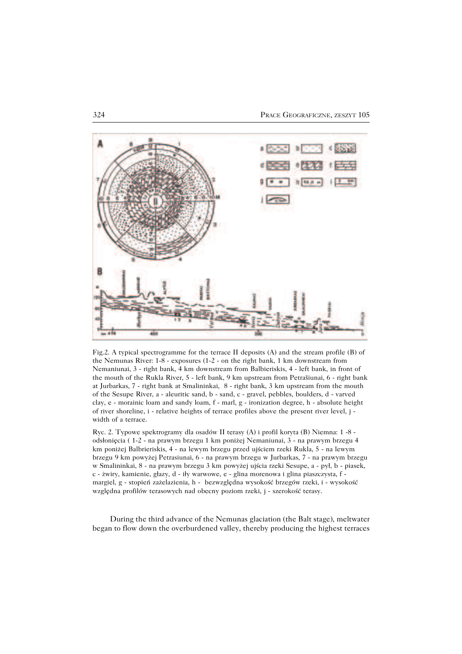

Fig.2. A typical spectrogramme for the terrace II deposits (A) and the stream profile (B) of the Nemunas River: 1−8 − exposures (1−2 − on the right bank, 1 km downstream from Nemaniunai, 3 − right bank, 4 km downstream from Balbieriskis, 4 − left bank, in front of the mouth of the Rukla River, 5 − left bank, 9 km upstream from Petrašiunai, 6 − right bank at Jurbarkas, 7 − right bank at Smalininkai, 8 − right bank, 3 km upstream from the mouth of the Sesupe River, a − aleuritic sand, b − sand, c − gravel, pebbles, boulders, d − varved clay, e − morainic loam and sandy loam, f − marl, g − ironization degree, h − absolute height of river shoreline, i − relative heights of terrace profiles above the present river level, j − width of a terrace.

Ryc. 2. Typowe spektrogramy dla osadów II terasy (A) i profil koryta (B) Niemna: 1 −8 − odsłonięcia ( 1−2 − na prawym brzegu 1 km poniżej Nemaniunai, 3 − na prawym brzegu 4 km poniżej Balbrieriskis, 4 − na lewym brzegu przed ujściem rzeki Rukla, 5 − na lewym brzegu 9 km powyżej Petrasiunai, 6 − na prawym brzegu w Jurbarkas, 7 − na prawym brzegu w Smalininkai, 8 − na prawym brzegu 3 km powyżej ujścia rzeki Sesupe, a − pył, b − piasek, c − żwiry, kamienie, głazy, d − iły warwowe, e − glina morenowa i glina piaszczysta, f − margiel, g − stopień zażelazienia, h − bezwzględna wysokość brzegów rzeki, i − wysokość względna profilów terasowych nad obecny poziom rzeki, j − szerokość terasy.

During the third advance of the Nemunas glaciation (the Balt stage), meltwater began to flow down the overburdened valley, thereby producing the highest terraces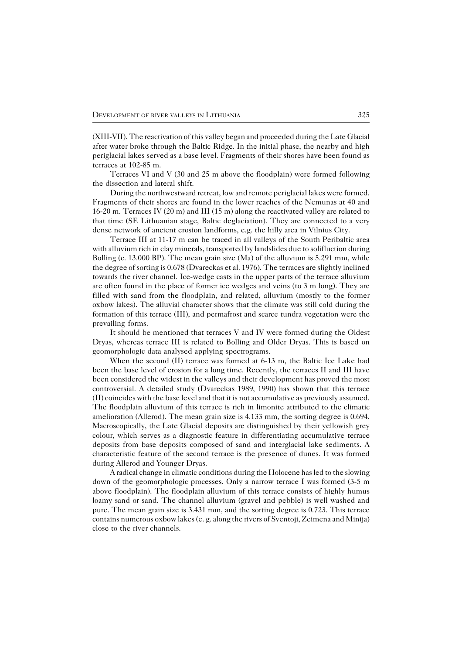(XIII−VII). The reactivation of this valley began and proceeded during the Late Glacial after water broke through the Baltic Ridge. In the initial phase, the nearby and high periglacial lakes served as a base level. Fragments of their shores have been found as terraces at 102−85 m.

Terraces VI and V (30 and 25 m above the floodplain) were formed following the dissection and lateral shift.

During the northwestward retreat, low and remote periglacial lakes were formed. Fragments of their shores are found in the lower reaches of the Nemunas at 40 and 16−20 m. Terraces IV (20 m) and III (15 m) along the reactivated valley are related to that time (SE Lithuanian stage, Baltic deglaciation). They are connected to a very dense network of ancient erosion landforms, e.g. the hilly area in Vilnius City.

Terrace III at 11−17 m can be traced in all valleys of the South Peribaltic area with alluvium rich in clay minerals, transported by landslides due to solifluction during Bolling (c. 13.000 BP). The mean grain size (Ma) of the alluvium is 5.291 mm, while the degree of sorting is 0.678 (Dvareckas et al. 1976). The terraces are slightly inclined towards the river channel. Ice−wedge casts in the upper parts of the terrace alluvium are often found in the place of former ice wedges and veins (to 3 m long). They are filled with sand from the floodplain, and related, alluvium (mostly to the former oxbow lakes). The alluvial character shows that the climate was still cold during the formation of this terrace (III), and permafrost and scarce tundra vegetation were the prevailing forms.

It should be mentioned that terraces V and IV were formed during the Oldest Dryas, whereas terrace III is related to Bolling and Older Dryas. This is based on geomorphologic data analysed applying spectrograms.

When the second (II) terrace was formed at 6−13 m, the Baltic Ice Lake had been the base level of erosion for a long time. Recently, the terraces II and III have been considered the widest in the valleys and their development has proved the most controversial. A detailed study (Dvareckas 1989, 1990) has shown that this terrace (II) coincides with the base level and that it is not accumulative as previously assumed. The floodplain alluvium of this terrace is rich in limonite attributed to the climatic amelioration (Allerod). The mean grain size is 4.133 mm, the sorting degree is 0.694. Macroscopically, the Late Glacial deposits are distinguished by their yellowish grey colour, which serves as a diagnostic feature in differentiating accumulative terrace deposits from base deposits composed of sand and interglacial lake sediments. A characteristic feature of the second terrace is the presence of dunes. It was formed during Allerod and Younger Dryas.

A radical change in climatic conditions during the Holocene has led to the slowing down of the geomorphologic processes. Only a narrow terrace I was formed (3−5 m above floodplain). The floodplain alluvium of this terrace consists of highly humus loamy sand or sand. The channel alluvium (gravel and pebble) is well washed and pure. The mean grain size is 3.431 mm, and the sorting degree is 0.723. This terrace contains numerous oxbow lakes (e. g. along the rivers of Sventoji, Zeimena and Minija) close to the river channels.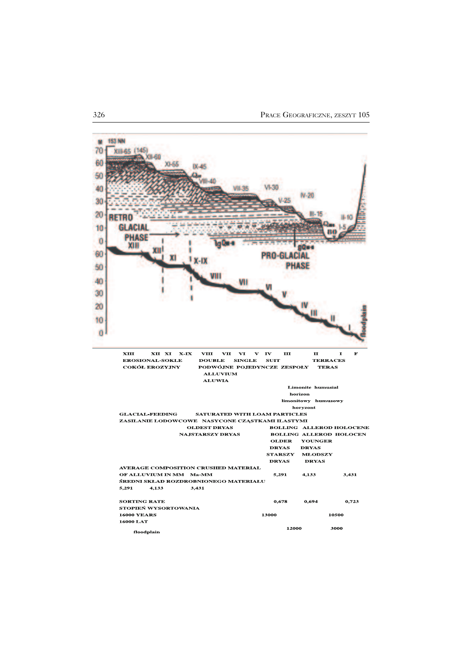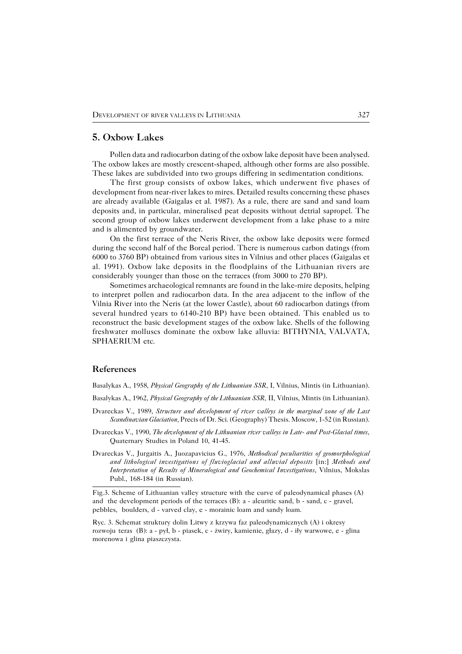### **5. Oxbow Lakes**

Pollen data and radiocarbon dating of the oxbow lake deposit have been analysed. The oxbow lakes are mostly crescent−shaped, although other forms are also possible. These lakes are subdivided into two groups differing in sedimentation conditions.

The first group consists of oxbow lakes, which underwent five phases of development from near−river lakes to mires. Detailed results concerning these phases are already available (Gaigalas et al. 1987). As a rule, there are sand and sand loam deposits and, in particular, mineralised peat deposits without detrial sapropel. The second group of oxbow lakes underwent development from a lake phase to a mire and is alimented by groundwater.

On the first terrace of the Neris River, the oxbow lake deposits were formed during the second half of the Boreal period. There is numerous carbon datings (from 6000 to 3760 BP) obtained from various sites in Vilnius and other places (Gaigalas et al. 1991). Oxbow lake deposits in the floodplains of the Lithuanian rivers are considerably younger than those on the terraces (from 3000 to 270 BP).

Sometimes archaeological remnants are found in the lake−mire deposits, helping to interpret pollen and radiocarbon data. In the area adjacent to the inflow of the Vilnia River into the Neris (at the lower Castle), about 60 radiocarbon datings (from several hundred years to 6140−210 BP) have been obtained. This enabled us to reconstruct the basic development stages of the oxbow lake. Shells of the following freshwater molluscs dominate the oxbow lake alluvia: BITHYNIA, VALVATA, SPHAERIUM etc.

### **References**

Basalykas A., 1958, *Physical Geography of the Lithuanian SSR*, I, Vilnius, Mintis (in Lithuanian).

Basalykas A., 1962, *Physical Geography of the Lithuanian SSR,* II, Vilnius, Mintis (in Lithuanian).

- Dvareckas V., 1989, *Structure and development of river valleys in the marginal zone of the Last Scandinavian Glaciation,* Precis of Dr. Sci. (Geography) Thesis. Moscow, 1−52 (in Russian).
- Dvareckas V., 1990, *The development of the Lithuanian river valleys in Late− and Post−Glacial times*, Quaternary Studies in Poland 10, 41−45.

Dvareckas V., Jurgaitis A., Juozapavicius G., 1976, *Methodical peculiarities of geomorphological and lithological investigations of fluvioglacial and alluvial deposits* [in:] *Methods and Interpretation of Results of Mineralogical and Geochemical Investigations*, Vilnius, Mokslas Publ., 168−184 (in Russian).

Fig.3. Scheme of Lithuanian valley structure with the curve of paleodynamical phases (A) and the development periods of the terraces (B): a − aleuritic sand, b − sand, c − gravel, pebbles, boulders, d − varved clay, e − morainic loam and sandy loam.

Ryc. 3. Schemat struktury dolin Litwy z krzywa faz paleodynamicznych (A) i okresy rozwoju teras (B): a − pył, b − piasek, c − żwiry, kamienie, głazy, d − iły warwowe, e − glina morenowa i glina piaszczysta.